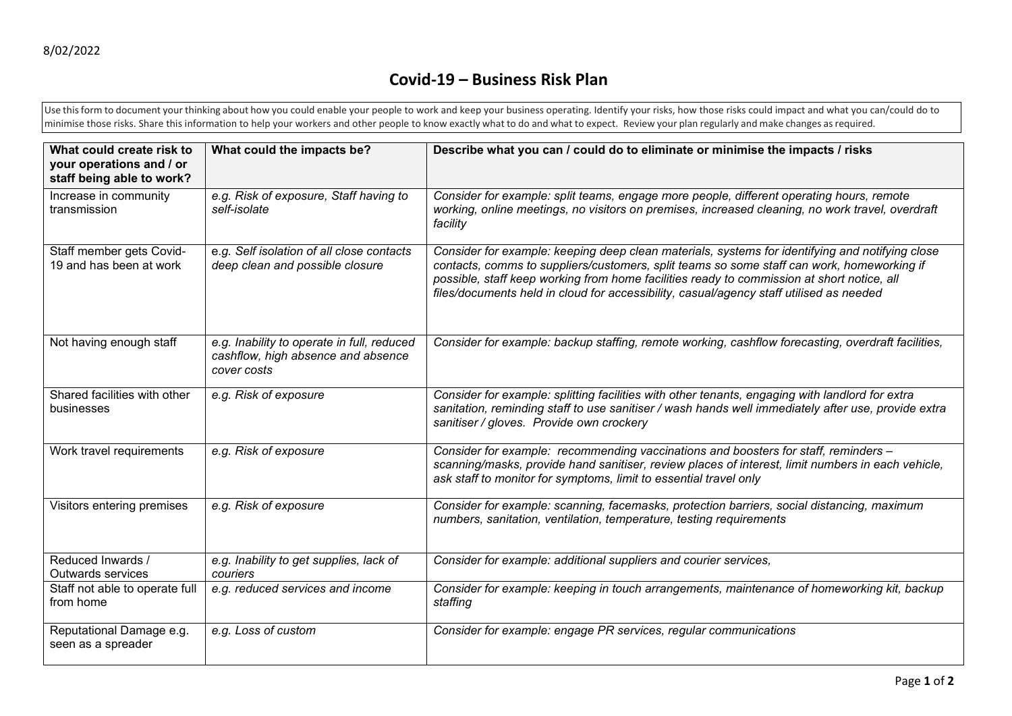## **Covid-19 – Business Risk Plan**

Use this form to document your thinking about how you could enable your people to work and keep your business operating. Identify your risks, how those risks could impact and what you can/could do to minimise those risks. Share this information to help your workers and other people to know exactly what to do and what to expect. Review your plan regularly and make changes asrequired.

| What could create risk to<br>your operations and / or<br>staff being able to work? | What could the impacts be?                                                                      | Describe what you can / could do to eliminate or minimise the impacts / risks                                                                                                                                                                                                                                                                                                          |
|------------------------------------------------------------------------------------|-------------------------------------------------------------------------------------------------|----------------------------------------------------------------------------------------------------------------------------------------------------------------------------------------------------------------------------------------------------------------------------------------------------------------------------------------------------------------------------------------|
| Increase in community<br>transmission                                              | e.g. Risk of exposure, Staff having to<br>self-isolate                                          | Consider for example: split teams, engage more people, different operating hours, remote<br>working, online meetings, no visitors on premises, increased cleaning, no work travel, overdraft<br>facility                                                                                                                                                                               |
| Staff member gets Covid-<br>19 and has been at work                                | e.g. Self isolation of all close contacts<br>deep clean and possible closure                    | Consider for example: keeping deep clean materials, systems for identifying and notifying close<br>contacts, comms to suppliers/customers, split teams so some staff can work, homeworking if<br>possible, staff keep working from home facilities ready to commission at short notice, all<br>files/documents held in cloud for accessibility, casual/agency staff utilised as needed |
| Not having enough staff                                                            | e.g. Inability to operate in full, reduced<br>cashflow, high absence and absence<br>cover costs | Consider for example: backup staffing, remote working, cashflow forecasting, overdraft facilities,                                                                                                                                                                                                                                                                                     |
| Shared facilities with other<br>businesses                                         | e.g. Risk of exposure                                                                           | Consider for example: splitting facilities with other tenants, engaging with landlord for extra<br>sanitation, reminding staff to use sanitiser / wash hands well immediately after use, provide extra<br>sanitiser / gloves. Provide own crockery                                                                                                                                     |
| Work travel requirements                                                           | e.g. Risk of exposure                                                                           | Consider for example: recommending vaccinations and boosters for staff, reminders -<br>scanning/masks, provide hand sanitiser, review places of interest, limit numbers in each vehicle,<br>ask staff to monitor for symptoms, limit to essential travel only                                                                                                                          |
| Visitors entering premises                                                         | e.g. Risk of exposure                                                                           | Consider for example: scanning, facemasks, protection barriers, social distancing, maximum<br>numbers, sanitation, ventilation, temperature, testing requirements                                                                                                                                                                                                                      |
| Reduced Inwards /<br>Outwards services                                             | e.g. Inability to get supplies, lack of<br>couriers                                             | Consider for example: additional suppliers and courier services,                                                                                                                                                                                                                                                                                                                       |
| Staff not able to operate full<br>from home                                        | e.g. reduced services and income                                                                | Consider for example: keeping in touch arrangements, maintenance of homeworking kit, backup<br>staffing                                                                                                                                                                                                                                                                                |
| Reputational Damage e.g.<br>seen as a spreader                                     | e.g. Loss of custom                                                                             | Consider for example: engage PR services, regular communications                                                                                                                                                                                                                                                                                                                       |